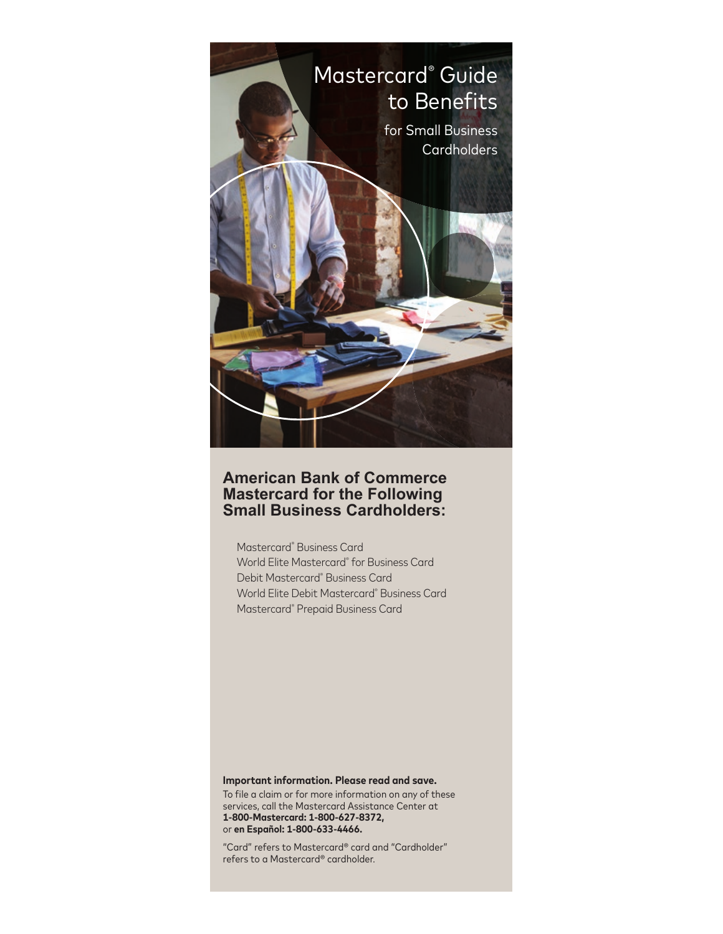

# **American Bank of Commerce Mastercard for the Following Small Business Cardholders:**

Mastercard® Business Card World Elite Mastercard® for Business Card Debit Mastercard® Business Card World Elite Debit Mastercard® Business Card Mastercard® Prepaid Business Card

#### **Important information. Please read and save.**

To file a claim or for more information on any of these services, call the Mastercard Assistance Center at **1-800-Mastercard: 1-800-627-8372,**  or **en Español: 1-800-633-4466.**

"Card" refers to Mastercard® card and "Cardholder" refers to a Mastercard® cardholder.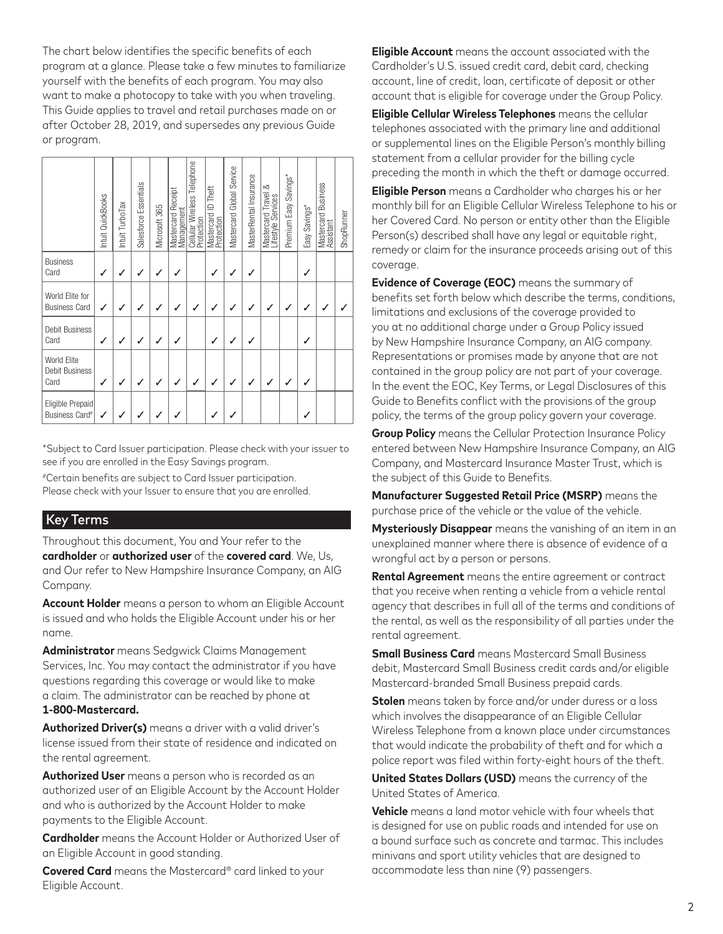The chart below identifies the specific benefits of each program at a glance. Please take a few minutes to familiarize yourself with the benefits of each program. You may also want to make a photocopy to take with you when traveling. This Guide applies to travel and retail purchases made on or after October 28, 2019, and supersedes any previous Guide or program.

|                                                | Intuit QuickBooks | Intuit TurboTax | Salesforce Essentials | Microsoft 365 | Mastercard Receipt<br>Management | Cellular Wireless Telephone<br>Protection | Mastercard ID Theft<br>Protection | Mastercard Global Service | MasterRental Insurance | Mastercard Travel &<br>Lifestyle Services | Premium Easy Savings* | Easy Savings* | Mastercard Business<br>Assistant | ShopRunner |
|------------------------------------------------|-------------------|-----------------|-----------------------|---------------|----------------------------------|-------------------------------------------|-----------------------------------|---------------------------|------------------------|-------------------------------------------|-----------------------|---------------|----------------------------------|------------|
| <b>Business</b><br>Card                        | ✓                 | $\checkmark$    | ✓                     | J             | $\checkmark$                     |                                           | ✓                                 | $\checkmark$              | ✓                      |                                           |                       | ✓             |                                  |            |
| World Elite for<br><b>Business Card</b>        | ✓                 |                 | ✓                     | $\checkmark$  | $\checkmark$                     | $\checkmark$                              | $\checkmark$                      | $\checkmark$              | $\checkmark$           | $\checkmark$                              | $\checkmark$          | $\checkmark$  | $\checkmark$                     |            |
| Debit Business<br>Card                         |                   |                 |                       | $\checkmark$  | J                                |                                           | $\checkmark$                      | $\checkmark$              | ┙                      |                                           |                       | √             |                                  |            |
| World Elite<br>Debit Business<br>Card          |                   |                 |                       |               |                                  |                                           |                                   | $\checkmark$              |                        |                                           |                       | $\checkmark$  |                                  |            |
| Eligible Prepaid<br>Business Card <sup>#</sup> |                   |                 |                       |               |                                  |                                           |                                   |                           |                        |                                           |                       |               |                                  |            |

\*Subject to Card Issuer participation. Please check with your issuer to see if you are enrolled in the Easy Savings program.

#Certain benefits are subject to Card Issuer participation. Please check with your Issuer to ensure that you are enrolled.

## Key Terms

Throughout this document, You and Your refer to the **cardholder** or **authorized user** of the **covered card**. We, Us, and Our refer to New Hampshire Insurance Company, an AIG Company.

**Account Holder** means a person to whom an Eligible Account is issued and who holds the Eligible Account under his or her name.

**Administrator** means Sedgwick Claims Management Services, Inc. You may contact the administrator if you have questions regarding this coverage or would like to make a claim. The administrator can be reached by phone at **1-800-Mastercard.**

**Authorized Driver(s)** means a driver with a valid driver's license issued from their state of residence and indicated on the rental agreement.

**Authorized User** means a person who is recorded as an authorized user of an Eligible Account by the Account Holder and who is authorized by the Account Holder to make payments to the Eligible Account.

**Cardholder** means the Account Holder or Authorized User of an Eligible Account in good standing.

**Covered Card** means the Mastercard® card linked to your Eligible Account.

**Eligible Account** means the account associated with the Cardholder's U.S. issued credit card, debit card, checking account, line of credit, loan, certificate of deposit or other account that is eligible for coverage under the Group Policy.

**Eligible Cellular Wireless Telephones** means the cellular telephones associated with the primary line and additional or supplemental lines on the Eligible Person's monthly billing statement from a cellular provider for the billing cycle preceding the month in which the theft or damage occurred.

**Eligible Person** means a Cardholder who charges his or her monthly bill for an Eligible Cellular Wireless Telephone to his or her Covered Card. No person or entity other than the Eligible Person(s) described shall have any legal or equitable right, remedy or claim for the insurance proceeds arising out of this coverage.

**Evidence of Coverage (EOC)** means the summary of benefits set forth below which describe the terms, conditions, limitations and exclusions of the coverage provided to you at no additional charge under a Group Policy issued by New Hampshire Insurance Company, an AIG company. Representations or promises made by anyone that are not contained in the group policy are not part of your coverage. In the event the EOC, Key Terms, or Legal Disclosures of this Guide to Benefits conflict with the provisions of the group policy, the terms of the group policy govern your coverage.

**Group Policy** means the Cellular Protection Insurance Policy entered between New Hampshire Insurance Company, an AIG Company, and Mastercard Insurance Master Trust, which is the subject of this Guide to Benefits.

**Manufacturer Suggested Retail Price (MSRP)** means the purchase price of the vehicle or the value of the vehicle.

**Mysteriously Disappear** means the vanishing of an item in an unexplained manner where there is absence of evidence of a wrongful act by a person or persons.

**Rental Agreement** means the entire agreement or contract that you receive when renting a vehicle from a vehicle rental agency that describes in full all of the terms and conditions of the rental, as well as the responsibility of all parties under the rental agreement.

**Small Business Card** means Mastercard Small Business debit, Mastercard Small Business credit cards and/or eligible Mastercard-branded Small Business prepaid cards.

**Stolen** means taken by force and/or under duress or a loss which involves the disappearance of an Eligible Cellular Wireless Telephone from a known place under circumstances that would indicate the probability of theft and for which a police report was filed within forty-eight hours of the theft.

**United States Dollars (USD)** means the currency of the United States of America.

**Vehicle** means a land motor vehicle with four wheels that is designed for use on public roads and intended for use on a bound surface such as concrete and tarmac. This includes minivans and sport utility vehicles that are designed to accommodate less than nine (9) passengers.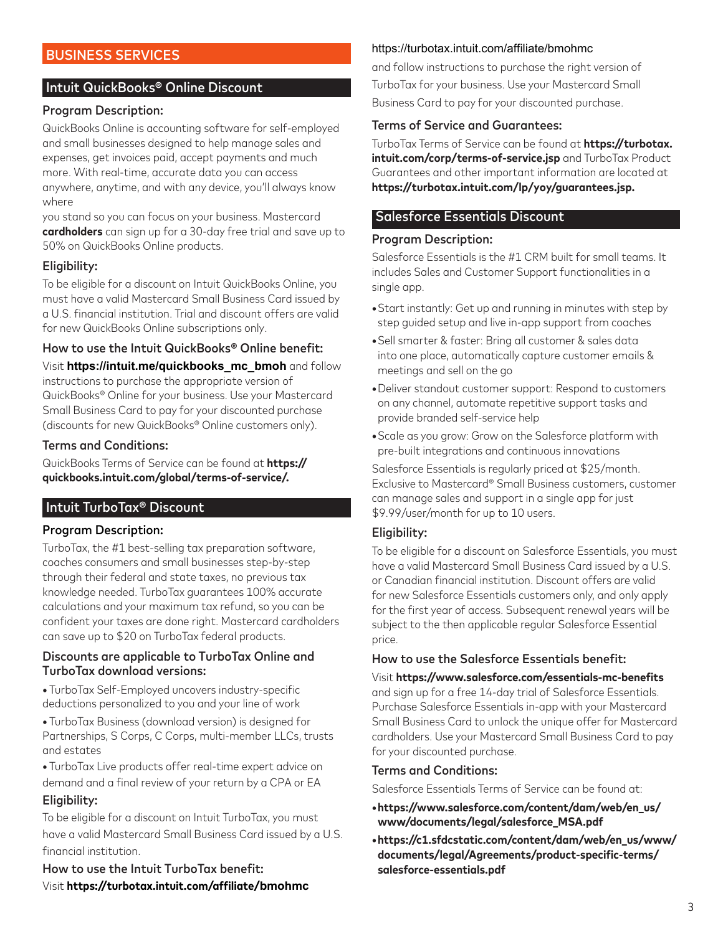# BUSINESS SERVICES

### Intuit QuickBooks® Online Discount

#### Program Description:

QuickBooks Online is accounting software for self-employed and small businesses designed to help manage sales and expenses, get invoices paid, accept payments and much more. With real-time, accurate data you can access anywhere, anytime, and with any device, you'll always know where

you stand so you can focus on your business. Mastercard **cardholders** can sign up for a 30-day free trial and save up to 50% on QuickBooks Online products.

#### Eligibility:

To be eligible for a discount on Intuit QuickBooks Online, you must have a valid Mastercard Small Business Card issued by a U.S. financial institution. Trial and discount offers are valid for new QuickBooks Online subscriptions only.

#### How to use the Intuit QuickBooks® Online benefit:

Visit **https://intuit.me/quickbooks\_mc\_bmoh** and follow instructions to purchase the appropriate version of QuickBooks® Online for your business. Use your Mastercard Small Business Card to pay for your discounted purchase (discounts for new QuickBooks® Online customers only).

#### Terms and Conditions:

QuickBooks Terms of Service can be found at **https:// quickbooks.intuit.com/global/terms-of-service/.**

### Intuit TurboTax® Discount

#### Program Description:

TurboTax, the #1 best-selling tax preparation software, coaches consumers and small businesses step-by-step through their federal and state taxes, no previous tax knowledge needed. TurboTax guarantees 100% accurate calculations and your maximum tax refund, so you can be confident your taxes are done right. Mastercard cardholders can save up to \$20 on TurboTax federal products.

#### Discounts are applicable to TurboTax Online and TurboTax download versions:

**•** TurboTax Self-Employed uncovers industry-specific deductions personalized to you and your line of work

**•** TurboTax Business (download version) is designed for Partnerships, S Corps, C Corps, multi-member LLCs, trusts and estates

**•** TurboTax Live products offer real-time expert advice on demand and a final review of your return by a CPA or EA Eligibility:

To be eligible for a discount on Intuit TurboTax, you must have a valid Mastercard Small Business Card issued by a U.S. financial institution.

How to use the Intuit TurboTax benefit: Visit **https://turbotax.intuit.com/affiliate/bmohmc**

#### https://turbotax.intuit.com/affiliate/bmohmc

and follow instructions to purchase the right version of TurboTax for your business. Use your Mastercard Small Business Card to pay for your discounted purchase.

### Terms of Service and Guarantees:

TurboTax Terms of Service can be found at **https://turbotax. intuit.com/corp/terms-of-service.jsp** and TurboTax Product Guarantees and other important information are located at **https://turbotax.intuit.com/lp/yoy/guarantees.jsp.**

## Salesforce Essentials Discount

#### Program Description:

Salesforce Essentials is the #1 CRM built for small teams. It includes Sales and Customer Support functionalities in a single app.

- Start instantly: Get up and running in minutes with step by step guided setup and live in-app support from coaches
- Sell smarter & faster: Bring all customer & sales data into one place, automatically capture customer emails & meetings and sell on the go
- Deliver standout customer support: Respond to customers on any channel, automate repetitive support tasks and provide branded self-service help
- Scale as you grow: Grow on the Salesforce platform with pre-built integrations and continuous innovations

Salesforce Essentials is regularly priced at \$25/month. Exclusive to Mastercard® Small Business customers, customer can manage sales and support in a single app for just \$9.99/user/month for up to 10 users.

#### Eligibility:

To be eligible for a discount on Salesforce Essentials, you must have a valid Mastercard Small Business Card issued by a U.S. or Canadian financial institution. Discount offers are valid for new Salesforce Essentials customers only, and only apply for the first year of access. Subsequent renewal years will be subject to the then applicable regular Salesforce Essential price.

### How to use the Salesforce Essentials benefit:

Visit **https://www.salesforce.com/essentials-mc-benefits** and sign up for a free 14-day trial of Salesforce Essentials. Purchase Salesforce Essentials in-app with your Mastercard Small Business Card to unlock the unique offer for Mastercard cardholders. Use your Mastercard Small Business Card to pay for your discounted purchase.

#### Terms and Conditions:

Salesforce Essentials Terms of Service can be found at:

- **https://www.salesforce.com/content/dam/web/en\_us/ www/documents/legal/salesforce\_MSA.pdf**
- **https://c1.sfdcstatic.com/content/dam/web/en\_us/www/ documents/legal/Agreements/product-specific-terms/ salesforce-essentials.pdf**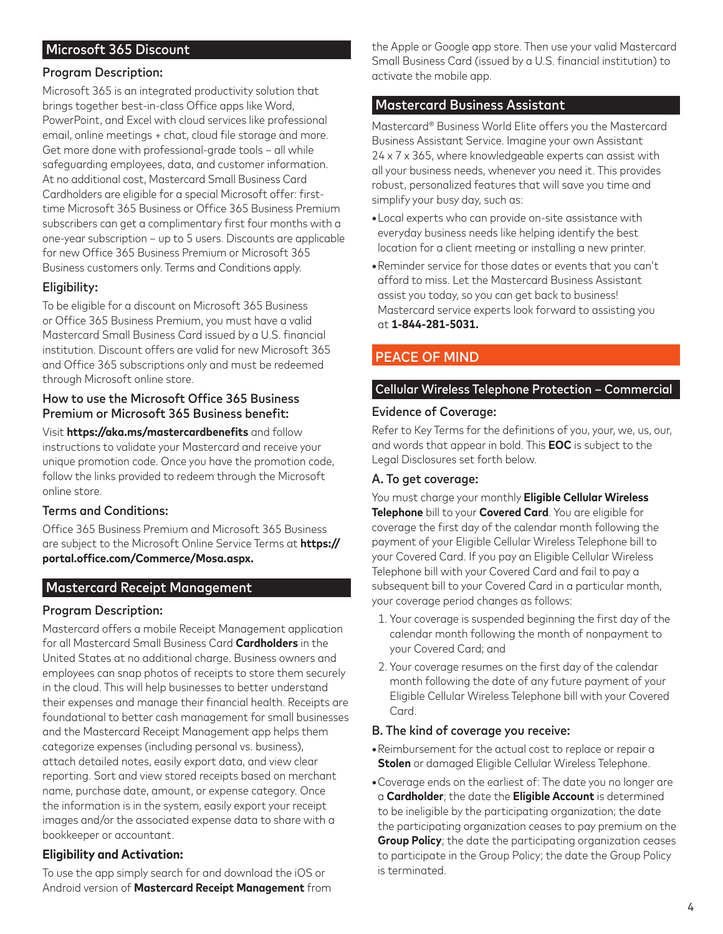# Microsoft 365 Discount

### Program Description:

Microsoft 365 is an integrated productivity solution that brings together best-in-class Office apps like Word, PowerPoint, and Excel with cloud services like professional email, online meetings + chat, cloud file storage and more. Get more done with professional-grade tools – all while safeguarding employees, data, and customer information. At no additional cost, Mastercard Small Business Card Cardholders are eligible for a special Microsoft offer: firsttime Microsoft 365 Business or Office 365 Business Premium subscribers can get a complimentary first four months with a one-year subscription – up to 5 users. Discounts are applicable for new Office 365 Business Premium or Microsoft 365 Business customers only. Terms and Conditions apply.

### Eligibility:

To be eligible for a discount on Microsoft 365 Business or Office 365 Business Premium, you must have a valid Mastercard Small Business Card issued by a U.S. financial institution. Discount offers are valid for new Microsoft 365 and Office 365 subscriptions only and must be redeemed through Microsoft online store.

### How to use the Microsoft Office 365 Business Premium or Microsoft 365 Business benefit:

Visit **https://aka.ms/mastercardbenefits** and follow instructions to validate your Mastercard and receive your unique promotion code. Once you have the promotion code, follow the links provided to redeem through the Microsoft online store.

### Terms and Conditions:

Office 365 Business Premium and Microsoft 365 Business are subject to the Microsoft Online Service Terms at **https:// portal.office.com/Commerce/Mosa.aspx.**

### Mastercard Receipt Management

### Program Description:

Mastercard offers a mobile Receipt Management application for all Mastercard Small Business Card **Cardholders** in the United States at no additional charge. Business owners and employees can snap photos of receipts to store them securely in the cloud. This will help businesses to better understand their expenses and manage their financial health. Receipts are foundational to better cash management for small businesses and the Mastercard Receipt Management app helps them categorize expenses (including personal vs. business), attach detailed notes, easily export data, and view clear reporting. Sort and view stored receipts based on merchant name, purchase date, amount, or expense category. Once the information is in the system, easily export your receipt images and/or the associated expense data to share with a bookkeeper or accountant.

### **Eligibility and Activation:**

To use the app simply search for and download the iOS or Android version of **Mastercard Receipt Management** from

the Apple or Google app store. Then use your valid Mastercard Small Business Card (issued by a U.S. financial institution) to activate the mobile app.

### Mastercard Business Assistant

Mastercard® Business World Elite offers you the Mastercard Business Assistant Service. Imagine your own Assistant 24 x 7 x 365, where knowledgeable experts can assist with all your business needs, whenever you need it. This provides robust, personalized features that will save you time and simplify your busy day, such as:

- Local experts who can provide on-site assistance with everyday business needs like helping identify the best location for a client meeting or installing a new printer.
- Reminder service for those dates or events that you can't afford to miss. Let the Mastercard Business Assistant assist you today, so you can get back to business! Mastercard service experts look forward to assisting you at **1-844-281-5031.**

# PEACE OF MIND

#### Cellular Wireless Telephone Protection – Commercial

#### Evidence of Coverage:

Refer to Key Terms for the definitions of you, your, we, us, our, and words that appear in bold. This **EOC** is subject to the Legal Disclosures set forth below.

#### A. To get coverage:

You must charge your monthly **Eligible Cellular Wireless Telephone** bill to your **Covered Card**. You are eligible for coverage the first day of the calendar month following the payment of your Eligible Cellular Wireless Telephone bill to your Covered Card. If you pay an Eligible Cellular Wireless Telephone bill with your Covered Card and fail to pay a subsequent bill to your Covered Card in a particular month, your coverage period changes as follows:

- 1. Your coverage is suspended beginning the first day of the calendar month following the month of nonpayment to your Covered Card; and
- 2. Your coverage resumes on the first day of the calendar month following the date of any future payment of your Eligible Cellular Wireless Telephone bill with your Covered Card.

#### B. The kind of coverage you receive:

- Reimbursement for the actual cost to replace or repair a **Stolen** or damaged Eligible Cellular Wireless Telephone.
- Coverage ends on the earliest of: The date you no longer are a **Cardholder**; the date the **Eligible Account** is determined to be ineligible by the participating organization; the date the participating organization ceases to pay premium on the **Group Policy**; the date the participating organization ceases to participate in the Group Policy; the date the Group Policy is terminated.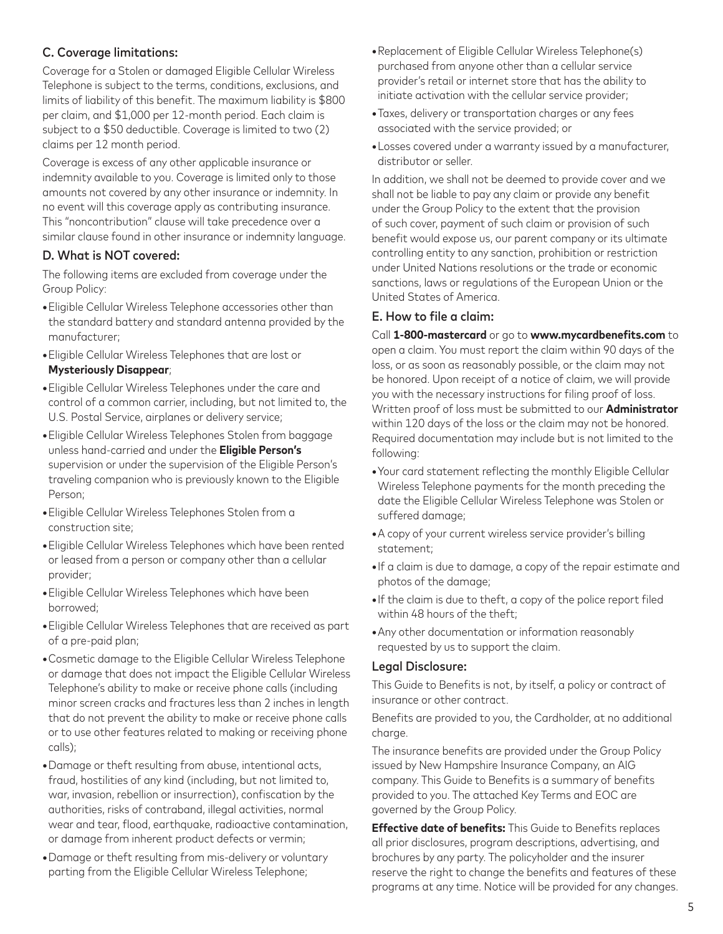# C. Coverage limitations:

Coverage for a Stolen or damaged Eligible Cellular Wireless Telephone is subject to the terms, conditions, exclusions, and limits of liability of this benefit. The maximum liability is \$800 per claim, and \$1,000 per 12-month period. Each claim is subject to a \$50 deductible. Coverage is limited to two (2) claims per 12 month period.

Coverage is excess of any other applicable insurance or indemnity available to you. Coverage is limited only to those amounts not covered by any other insurance or indemnity. In no event will this coverage apply as contributing insurance. This "noncontribution" clause will take precedence over a similar clause found in other insurance or indemnity language.

## D. What is NOT covered:

The following items are excluded from coverage under the Group Policy:

- Eligible Cellular Wireless Telephone accessories other than the standard battery and standard antenna provided by the manufacturer;
- Eligible Cellular Wireless Telephones that are lost or **Mysteriously Disappear**;
- Eligible Cellular Wireless Telephones under the care and control of a common carrier, including, but not limited to, the U.S. Postal Service, airplanes or delivery service;
- Eligible Cellular Wireless Telephones Stolen from baggage unless hand-carried and under the **Eligible Person's** supervision or under the supervision of the Eligible Person's traveling companion who is previously known to the Eligible Person;
- Eligible Cellular Wireless Telephones Stolen from a construction site;
- Eligible Cellular Wireless Telephones which have been rented or leased from a person or company other than a cellular provider;
- Eligible Cellular Wireless Telephones which have been borrowed;
- Eligible Cellular Wireless Telephones that are received as part of a pre-paid plan;
- Cosmetic damage to the Eligible Cellular Wireless Telephone or damage that does not impact the Eligible Cellular Wireless Telephone's ability to make or receive phone calls (including minor screen cracks and fractures less than 2 inches in length that do not prevent the ability to make or receive phone calls or to use other features related to making or receiving phone calls);
- Damage or theft resulting from abuse, intentional acts, fraud, hostilities of any kind (including, but not limited to, war, invasion, rebellion or insurrection), confiscation by the authorities, risks of contraband, illegal activities, normal wear and tear, flood, earthquake, radioactive contamination, or damage from inherent product defects or vermin;
- Damage or theft resulting from mis-delivery or voluntary parting from the Eligible Cellular Wireless Telephone;
- Replacement of Eligible Cellular Wireless Telephone(s) purchased from anyone other than a cellular service provider's retail or internet store that has the ability to initiate activation with the cellular service provider;
- Taxes, delivery or transportation charges or any fees associated with the service provided; or
- Losses covered under a warranty issued by a manufacturer, distributor or seller.

In addition, we shall not be deemed to provide cover and we shall not be liable to pay any claim or provide any benefit under the Group Policy to the extent that the provision of such cover, payment of such claim or provision of such benefit would expose us, our parent company or its ultimate controlling entity to any sanction, prohibition or restriction under United Nations resolutions or the trade or economic sanctions, laws or regulations of the European Union or the United States of America.

### E. How to file a claim:

Call **1-800-mastercard** or go to **www.mycardbenefits.com** to open a claim. You must report the claim within 90 days of the loss, or as soon as reasonably possible, or the claim may not be honored. Upon receipt of a notice of claim, we will provide you with the necessary instructions for filing proof of loss. Written proof of loss must be submitted to our **Administrator** within 120 days of the loss or the claim may not be honored. Required documentation may include but is not limited to the following:

- Your card statement reflecting the monthly Eligible Cellular Wireless Telephone payments for the month preceding the date the Eligible Cellular Wireless Telephone was Stolen or suffered damage;
- A copy of your current wireless service provider's billing statement;
- If a claim is due to damage, a copy of the repair estimate and photos of the damage;
- If the claim is due to theft, a copy of the police report filed within 48 hours of the theft;
- Any other documentation or information reasonably requested by us to support the claim.

### Legal Disclosure:

This Guide to Benefits is not, by itself, a policy or contract of insurance or other contract.

Benefits are provided to you, the Cardholder, at no additional charge.

The insurance benefits are provided under the Group Policy issued by New Hampshire Insurance Company, an AIG company. This Guide to Benefits is a summary of benefits provided to you. The attached Key Terms and EOC are governed by the Group Policy.

**Effective date of benefits:** This Guide to Benefits replaces all prior disclosures, program descriptions, advertising, and brochures by any party. The policyholder and the insurer reserve the right to change the benefits and features of these programs at any time. Notice will be provided for any changes.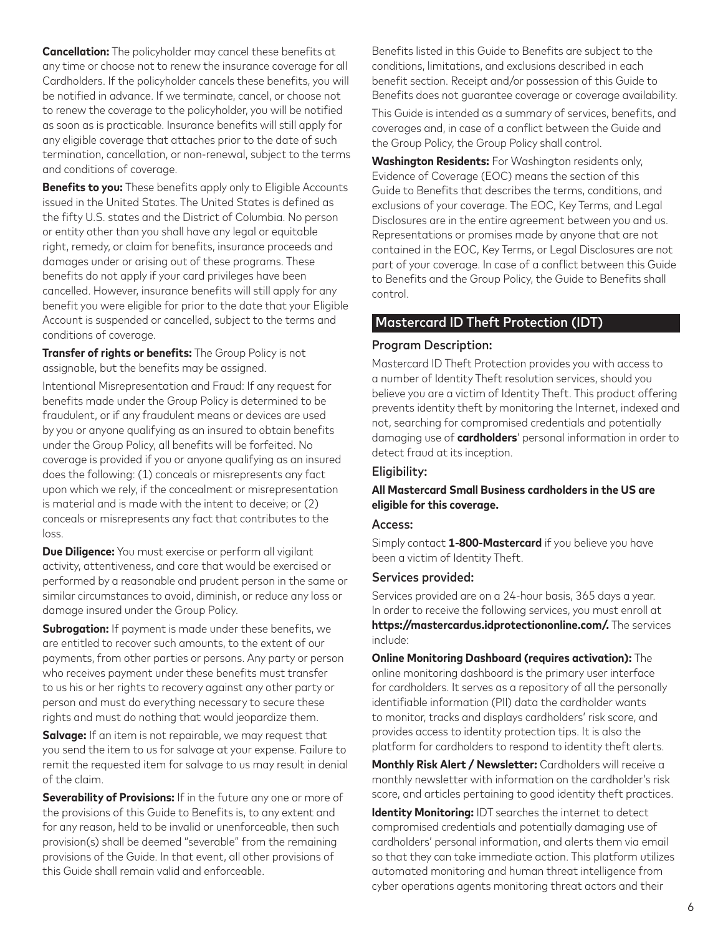**Cancellation:** The policyholder may cancel these benefits at any time or choose not to renew the insurance coverage for all Cardholders. If the policyholder cancels these benefits, you will be notified in advance. If we terminate, cancel, or choose not to renew the coverage to the policyholder, you will be notified as soon as is practicable. Insurance benefits will still apply for any eligible coverage that attaches prior to the date of such termination, cancellation, or non-renewal, subject to the terms and conditions of coverage.

**Benefits to you:** These benefits apply only to Eligible Accounts issued in the United States. The United States is defined as the fifty U.S. states and the District of Columbia. No person or entity other than you shall have any legal or equitable right, remedy, or claim for benefits, insurance proceeds and damages under or arising out of these programs. These benefits do not apply if your card privileges have been cancelled. However, insurance benefits will still apply for any benefit you were eligible for prior to the date that your Eligible Account is suspended or cancelled, subject to the terms and conditions of coverage.

**Transfer of rights or benefits:** The Group Policy is not assignable, but the benefits may be assigned.

Intentional Misrepresentation and Fraud: If any request for benefits made under the Group Policy is determined to be fraudulent, or if any fraudulent means or devices are used by you or anyone qualifying as an insured to obtain benefits under the Group Policy, all benefits will be forfeited. No coverage is provided if you or anyone qualifying as an insured does the following: (1) conceals or misrepresents any fact upon which we rely, if the concealment or misrepresentation is material and is made with the intent to deceive; or (2) conceals or misrepresents any fact that contributes to the loss.

**Due Diligence:** You must exercise or perform all vigilant activity, attentiveness, and care that would be exercised or performed by a reasonable and prudent person in the same or similar circumstances to avoid, diminish, or reduce any loss or damage insured under the Group Policy.

**Subrogation:** If payment is made under these benefits, we are entitled to recover such amounts, to the extent of our payments, from other parties or persons. Any party or person who receives payment under these benefits must transfer to us his or her rights to recovery against any other party or person and must do everything necessary to secure these rights and must do nothing that would jeopardize them.

**Salvage:** If an item is not repairable, we may request that you send the item to us for salvage at your expense. Failure to remit the requested item for salvage to us may result in denial of the claim.

**Severability of Provisions:** If in the future any one or more of the provisions of this Guide to Benefits is, to any extent and for any reason, held to be invalid or unenforceable, then such provision(s) shall be deemed "severable" from the remaining provisions of the Guide. In that event, all other provisions of this Guide shall remain valid and enforceable.

Benefits listed in this Guide to Benefits are subject to the conditions, limitations, and exclusions described in each benefit section. Receipt and/or possession of this Guide to Benefits does not guarantee coverage or coverage availability.

This Guide is intended as a summary of services, benefits, and coverages and, in case of a conflict between the Guide and the Group Policy, the Group Policy shall control.

**Washington Residents:** For Washington residents only, Evidence of Coverage (EOC) means the section of this Guide to Benefits that describes the terms, conditions, and exclusions of your coverage. The EOC, Key Terms, and Legal Disclosures are in the entire agreement between you and us. Representations or promises made by anyone that are not contained in the EOC, Key Terms, or Legal Disclosures are not part of your coverage. In case of a conflict between this Guide to Benefits and the Group Policy, the Guide to Benefits shall control.

### Mastercard ID Theft Protection (IDT)

#### Program Description:

Mastercard ID Theft Protection provides you with access to a number of Identity Theft resolution services, should you believe you are a victim of Identity Theft. This product offering prevents identity theft by monitoring the Internet, indexed and not, searching for compromised credentials and potentially damaging use of **cardholders**' personal information in order to detect fraud at its inception.

### Eligibility:

### **All Mastercard Small Business cardholders in the US are eligible for this coverage.**

#### Access:

Simply contact **1-800-Mastercard** if you believe you have been a victim of Identity Theft.

#### Services provided:

Services provided are on a 24-hour basis, 365 days a year. In order to receive the following services, you must enroll at **https://mastercardus.idprotectiononline.com/.** The services include:

**Online Monitoring Dashboard (requires activation):** The online monitoring dashboard is the primary user interface for cardholders. It serves as a repository of all the personally identifiable information (PII) data the cardholder wants to monitor, tracks and displays cardholders' risk score, and provides access to identity protection tips. It is also the platform for cardholders to respond to identity theft alerts.

**Monthly Risk Alert / Newsletter:** Cardholders will receive a monthly newsletter with information on the cardholder's risk score, and articles pertaining to good identity theft practices.

**Identity Monitoring:** IDT searches the internet to detect compromised credentials and potentially damaging use of cardholders' personal information, and alerts them via email so that they can take immediate action. This platform utilizes automated monitoring and human threat intelligence from cyber operations agents monitoring threat actors and their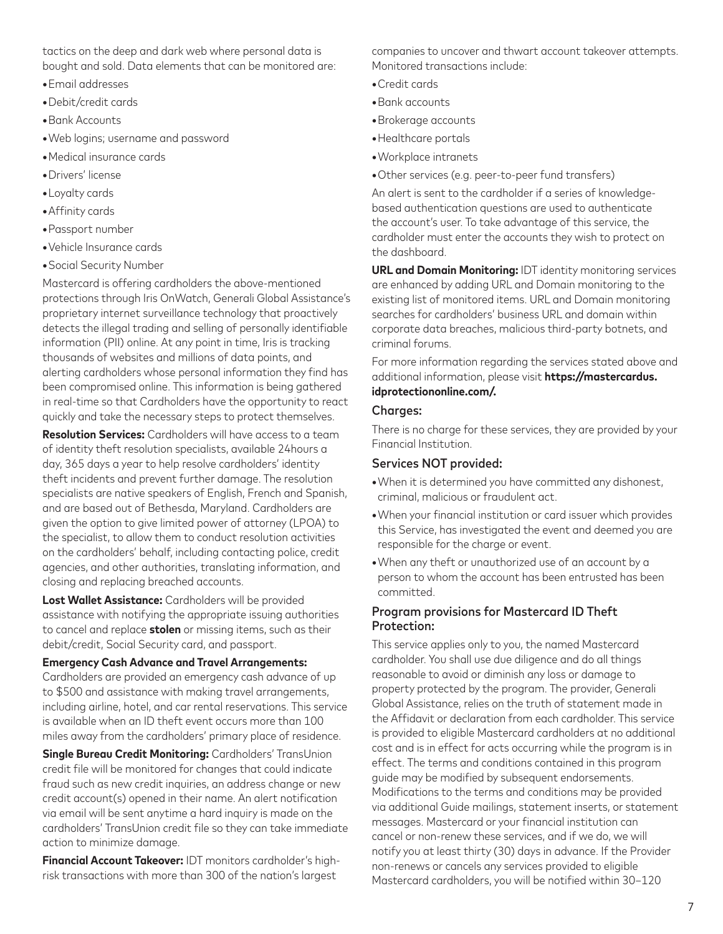tactics on the deep and dark web where personal data is bought and sold. Data elements that can be monitored are:

- Email addresses
- Debit/credit cards
- Bank Accounts
- Web logins; username and password
- Medical insurance cards
- Drivers' license
- Loyalty cards
- Affinity cards
- Passport number
- Vehicle Insurance cards
- Social Security Number

Mastercard is offering cardholders the above-mentioned protections through Iris OnWatch, Generali Global Assistance's proprietary internet surveillance technology that proactively detects the illegal trading and selling of personally identifiable information (PII) online. At any point in time, Iris is tracking thousands of websites and millions of data points, and alerting cardholders whose personal information they find has been compromised online. This information is being gathered in real-time so that Cardholders have the opportunity to react quickly and take the necessary steps to protect themselves.

**Resolution Services:** Cardholders will have access to a team of identity theft resolution specialists, available 24hours a day, 365 days a year to help resolve cardholders' identity theft incidents and prevent further damage. The resolution specialists are native speakers of English, French and Spanish, and are based out of Bethesda, Maryland. Cardholders are given the option to give limited power of attorney (LPOA) to the specialist, to allow them to conduct resolution activities on the cardholders' behalf, including contacting police, credit agencies, and other authorities, translating information, and closing and replacing breached accounts.

**Lost Wallet Assistance:** Cardholders will be provided assistance with notifying the appropriate issuing authorities to cancel and replace **stolen** or missing items, such as their debit/credit, Social Security card, and passport.

**Emergency Cash Advance and Travel Arrangements:** Cardholders are provided an emergency cash advance of up to \$500 and assistance with making travel arrangements, including airline, hotel, and car rental reservations. This service is available when an ID theft event occurs more than 100 miles away from the cardholders' primary place of residence.

**Single Bureau Credit Monitoring:** Cardholders' TransUnion credit file will be monitored for changes that could indicate fraud such as new credit inquiries, an address change or new credit account(s) opened in their name. An alert notification via email will be sent anytime a hard inquiry is made on the cardholders' TransUnion credit file so they can take immediate action to minimize damage.

**Financial Account Takeover:** IDT monitors cardholder's highrisk transactions with more than 300 of the nation's largest

companies to uncover and thwart account takeover attempts. Monitored transactions include:

- Credit cards
- Bank accounts
- Brokerage accounts
- Healthcare portals
- Workplace intranets
- Other services (e.g. peer-to-peer fund transfers)

An alert is sent to the cardholder if a series of knowledgebased authentication questions are used to authenticate the account's user. To take advantage of this service, the cardholder must enter the accounts they wish to protect on the dashboard.

**URL and Domain Monitoring:** IDT identity monitoring services are enhanced by adding URL and Domain monitoring to the existing list of monitored items. URL and Domain monitoring searches for cardholders' business URL and domain within corporate data breaches, malicious third-party botnets, and criminal forums.

For more information regarding the services stated above and additional information, please visit **https://mastercardus. idprotectiononline.com/.**

#### Charaes:

There is no charge for these services, they are provided by your Financial Institution.

### Services NOT provided:

- When it is determined you have committed any dishonest, criminal, malicious or fraudulent act.
- When your financial institution or card issuer which provides this Service, has investigated the event and deemed you are responsible for the charge or event.
- When any theft or unauthorized use of an account by a person to whom the account has been entrusted has been committed.

### Program provisions for Mastercard ID Theft Protection:

This service applies only to you, the named Mastercard cardholder. You shall use due diligence and do all things reasonable to avoid or diminish any loss or damage to property protected by the program. The provider, Generali Global Assistance, relies on the truth of statement made in the Affidavit or declaration from each cardholder. This service is provided to eligible Mastercard cardholders at no additional cost and is in effect for acts occurring while the program is in effect. The terms and conditions contained in this program guide may be modified by subsequent endorsements. Modifications to the terms and conditions may be provided via additional Guide mailings, statement inserts, or statement messages. Mastercard or your financial institution can cancel or non-renew these services, and if we do, we will notify you at least thirty (30) days in advance. If the Provider non-renews or cancels any services provided to eligible Mastercard cardholders, you will be notified within 30–120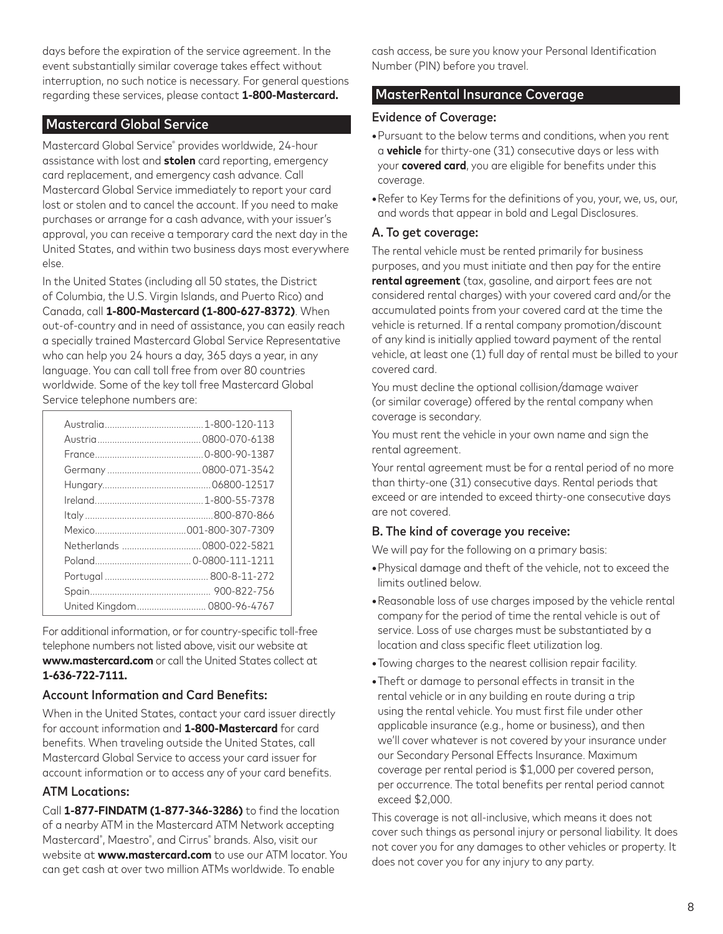days before the expiration of the service agreement. In the event substantially similar coverage takes effect without interruption, no such notice is necessary. For general questions regarding these services, please contact **1-800-Mastercard.**

## Mastercard Global Service

Mastercard Global Service® provides worldwide, 24-hour assistance with lost and **stolen** card reporting, emergency card replacement, and emergency cash advance. Call Mastercard Global Service immediately to report your card lost or stolen and to cancel the account. If you need to make purchases or arrange for a cash advance, with your issuer's approval, you can receive a temporary card the next day in the United States, and within two business days most everywhere else.

In the United States (including all 50 states, the District of Columbia, the U.S. Virgin Islands, and Puerto Rico) and Canada, call **1-800-Mastercard (1-800-627-8372)**. When out-of-country and in need of assistance, you can easily reach a specially trained Mastercard Global Service Representative who can help you 24 hours a day, 365 days a year, in any language. You can call toll free from over 80 countries worldwide. Some of the key toll free Mastercard Global Service telephone numbers are:

| Netherlands  0800-022-5821  |
|-----------------------------|
|                             |
|                             |
|                             |
| United Kingdom 0800-96-4767 |

For additional information, or for country-specific toll-free telephone numbers not listed above, visit our website at **www.mastercard.com** or call the United States collect at **1-636-722-7111.**

### Account Information and Card Benefits:

When in the United States, contact your card issuer directly for account information and **1-800-Mastercard** for card benefits. When traveling outside the United States, call Mastercard Global Service to access your card issuer for account information or to access any of your card benefits.

### ATM Locations:

Call **1-877-FINDATM (1-877-346-3286)** to find the location of a nearby ATM in the Mastercard ATM Network accepting Mastercard® , Maestro® , and Cirrus® brands. Also, visit our website at **www.mastercard.com** to use our ATM locator. You can get cash at over two million ATMs worldwide. To enable

cash access, be sure you know your Personal Identification Number (PIN) before you travel.

## MasterRental Insurance Coverage

### Evidence of Coverage:

- Pursuant to the below terms and conditions, when you rent a **vehicle** for thirty-one (31) consecutive days or less with your **covered card**, you are eligible for benefits under this coverage.
- Refer to Key Terms for the definitions of you, your, we, us, our, and words that appear in bold and Legal Disclosures.

### A. To get coverage:

The rental vehicle must be rented primarily for business purposes, and you must initiate and then pay for the entire **rental agreement** (tax, gasoline, and airport fees are not considered rental charges) with your covered card and/or the accumulated points from your covered card at the time the vehicle is returned. If a rental company promotion/discount of any kind is initially applied toward payment of the rental vehicle, at least one (1) full day of rental must be billed to your covered card.

You must decline the optional collision/damage waiver (or similar coverage) offered by the rental company when coverage is secondary.

You must rent the vehicle in your own name and sign the rental agreement.

Your rental agreement must be for a rental period of no more than thirty-one (31) consecutive days. Rental periods that exceed or are intended to exceed thirty-one consecutive days are not covered.

### B. The kind of coverage you receive:

We will pay for the following on a primary basis:

- Physical damage and theft of the vehicle, not to exceed the limits outlined below.
- Reasonable loss of use charges imposed by the vehicle rental company for the period of time the rental vehicle is out of service. Loss of use charges must be substantiated by a location and class specific fleet utilization log.
- Towing charges to the nearest collision repair facility.
- Theft or damage to personal effects in transit in the rental vehicle or in any building en route during a trip using the rental vehicle. You must first file under other applicable insurance (e.g., home or business), and then we'll cover whatever is not covered by your insurance under our Secondary Personal Effects Insurance. Maximum coverage per rental period is \$1,000 per covered person, per occurrence. The total benefits per rental period cannot exceed \$2,000.

This coverage is not all-inclusive, which means it does not cover such things as personal injury or personal liability. It does not cover you for any damages to other vehicles or property. It does not cover you for any injury to any party.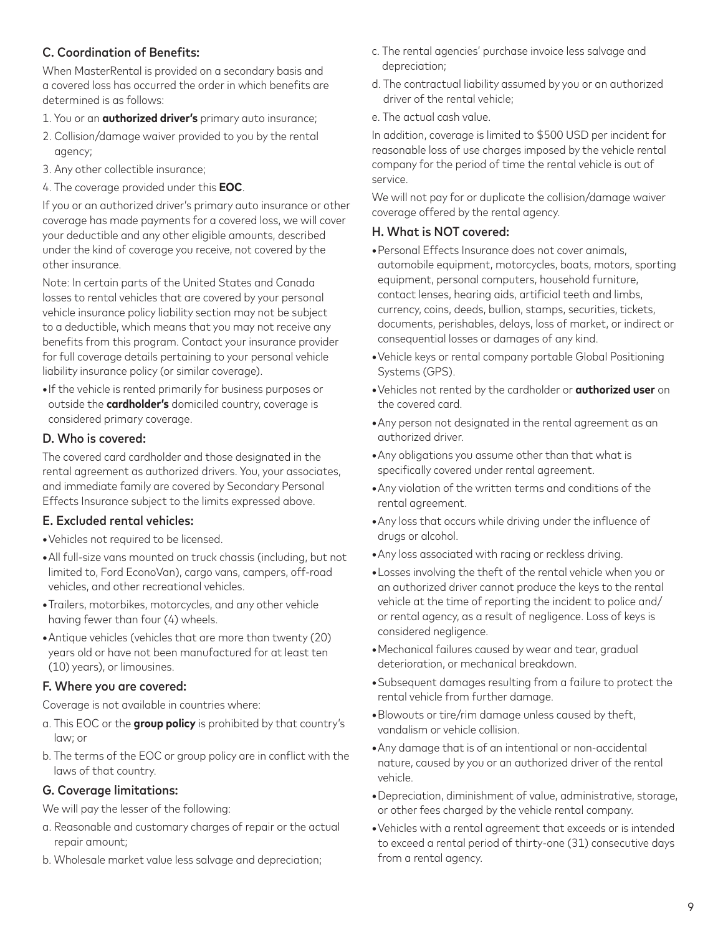# C. Coordination of Benefits:

When MasterRental is provided on a secondary basis and a covered loss has occurred the order in which benefits are determined is as follows:

- 1. You or an **authorized driver's** primary auto insurance;
- 2. Collision/damage waiver provided to you by the rental agency;
- 3. Any other collectible insurance;
- 4. The coverage provided under this **EOC**.

If you or an authorized driver's primary auto insurance or other coverage has made payments for a covered loss, we will cover your deductible and any other eligible amounts, described under the kind of coverage you receive, not covered by the other insurance.

Note: In certain parts of the United States and Canada losses to rental vehicles that are covered by your personal vehicle insurance policy liability section may not be subject to a deductible, which means that you may not receive any benefits from this program. Contact your insurance provider for full coverage details pertaining to your personal vehicle liability insurance policy (or similar coverage).

**•** If the vehicle is rented primarily for business purposes or outside the **cardholder's** domiciled country, coverage is considered primary coverage.

## D. Who is covered:

The covered card cardholder and those designated in the rental agreement as authorized drivers. You, your associates, and immediate family are covered by Secondary Personal Effects Insurance subject to the limits expressed above.

### E. Excluded rental vehicles:

- Vehicles not required to be licensed.
- All full-size vans mounted on truck chassis (including, but not limited to, Ford EconoVan), cargo vans, campers, off-road vehicles, and other recreational vehicles.
- Trailers, motorbikes, motorcycles, and any other vehicle having fewer than four (4) wheels.
- Antique vehicles (vehicles that are more than twenty (20) years old or have not been manufactured for at least ten (10) years), or limousines.

#### F. Where you are covered:

Coverage is not available in countries where:

- a. This EOC or the **group policy** is prohibited by that country's law; or
- b. The terms of the EOC or group policy are in conflict with the laws of that country.

### G. Coverage limitations:

We will pay the lesser of the following:

- a. Reasonable and customary charges of repair or the actual repair amount;
- b. Wholesale market value less salvage and depreciation;
- c. The rental agencies' purchase invoice less salvage and depreciation;
- d. The contractual liability assumed by you or an authorized driver of the rental vehicle;
- e. The actual cash value.

In addition, coverage is limited to \$500 USD per incident for reasonable loss of use charges imposed by the vehicle rental company for the period of time the rental vehicle is out of service.

We will not pay for or duplicate the collision/damage waiver coverage offered by the rental agency.

### H. What is NOT covered:

- Personal Effects Insurance does not cover animals, automobile equipment, motorcycles, boats, motors, sporting equipment, personal computers, household furniture, contact lenses, hearing aids, artificial teeth and limbs, currency, coins, deeds, bullion, stamps, securities, tickets, documents, perishables, delays, loss of market, or indirect or consequential losses or damages of any kind.
- Vehicle keys or rental company portable Global Positioning Systems (GPS).
- Vehicles not rented by the cardholder or **authorized user** on the covered card.
- Any person not designated in the rental agreement as an authorized driver.
- Any obligations you assume other than that what is specifically covered under rental agreement.
- Any violation of the written terms and conditions of the rental agreement.
- Any loss that occurs while driving under the influence of drugs or alcohol.
- Any loss associated with racing or reckless driving.
- Losses involving the theft of the rental vehicle when you or an authorized driver cannot produce the keys to the rental vehicle at the time of reporting the incident to police and/ or rental agency, as a result of negligence. Loss of keys is considered negligence.
- Mechanical failures caused by wear and tear, gradual deterioration, or mechanical breakdown.
- Subsequent damages resulting from a failure to protect the rental vehicle from further damage.
- Blowouts or tire/rim damage unless caused by theft, vandalism or vehicle collision.
- Any damage that is of an intentional or non-accidental nature, caused by you or an authorized driver of the rental vehicle.
- Depreciation, diminishment of value, administrative, storage, or other fees charged by the vehicle rental company.
- Vehicles with a rental agreement that exceeds or is intended to exceed a rental period of thirty-one (31) consecutive days from a rental agency.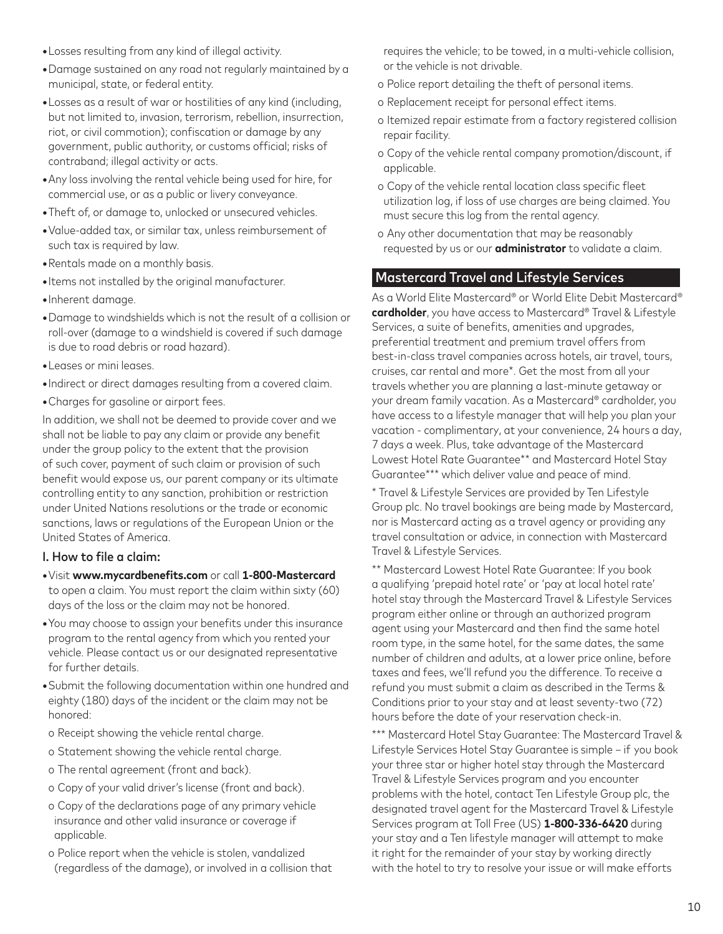- Losses resulting from any kind of illegal activity.
- Damage sustained on any road not regularly maintained by a municipal, state, or federal entity.
- Losses as a result of war or hostilities of any kind (including, but not limited to, invasion, terrorism, rebellion, insurrection, riot, or civil commotion); confiscation or damage by any government, public authority, or customs official; risks of contraband; illegal activity or acts.
- Any loss involving the rental vehicle being used for hire, for commercial use, or as a public or livery conveyance.
- Theft of, or damage to, unlocked or unsecured vehicles.
- Value-added tax, or similar tax, unless reimbursement of such tax is required by law.
- Rentals made on a monthly basis.
- Items not installed by the original manufacturer.
- Inherent damage.
- Damage to windshields which is not the result of a collision or roll-over (damage to a windshield is covered if such damage is due to road debris or road hazard).
- Leases or mini leases.
- Indirect or direct damages resulting from a covered claim.
- Charges for gasoline or airport fees.

In addition, we shall not be deemed to provide cover and we shall not be liable to pay any claim or provide any benefit under the group policy to the extent that the provision of such cover, payment of such claim or provision of such benefit would expose us, our parent company or its ultimate controlling entity to any sanction, prohibition or restriction under United Nations resolutions or the trade or economic sanctions, laws or regulations of the European Union or the United States of America.

#### I. How to file a claim:

- Visit **www.mycardbenefits.com** or call **1-800-Mastercard** to open a claim. You must report the claim within sixty (60) days of the loss or the claim may not be honored.
- You may choose to assign your benefits under this insurance program to the rental agency from which you rented your vehicle. Please contact us or our designated representative for further details.
- Submit the following documentation within one hundred and eighty (180) days of the incident or the claim may not be honored:
- o Receipt showing the vehicle rental charge.
- o Statement showing the vehicle rental charge.
- o The rental agreement (front and back).
- o Copy of your valid driver's license (front and back).
- o Copy of the declarations page of any primary vehicle insurance and other valid insurance or coverage if applicable.
- o Police report when the vehicle is stolen, vandalized (regardless of the damage), or involved in a collision that

requires the vehicle; to be towed, in a multi-vehicle collision, or the vehicle is not drivable.

- o Police report detailing the theft of personal items.
- o Replacement receipt for personal effect items.
- o Itemized repair estimate from a factory registered collision repair facility.
- o Copy of the vehicle rental company promotion/discount, if applicable.
- o Copy of the vehicle rental location class specific fleet utilization log, if loss of use charges are being claimed. You must secure this log from the rental agency.
- o Any other documentation that may be reasonably requested by us or our **administrator** to validate a claim.

# Mastercard Travel and Lifestyle Services

As a World Elite Mastercard® or World Elite Debit Mastercard® **cardholder**, you have access to Mastercard® Travel & Lifestyle Services, a suite of benefits, amenities and upgrades, preferential treatment and premium travel offers from best-in-class travel companies across hotels, air travel, tours, cruises, car rental and more\*. Get the most from all your travels whether you are planning a last-minute getaway or your dream family vacation. As a Mastercard® cardholder, you have access to a lifestyle manager that will help you plan your vacation - complimentary, at your convenience, 24 hours a day, 7 days a week. Plus, take advantage of the Mastercard Lowest Hotel Rate Guarantee\*\* and Mastercard Hotel Stay Guarantee\*\*\* which deliver value and peace of mind.

\* Travel & Lifestyle Services are provided by Ten Lifestyle Group plc. No travel bookings are being made by Mastercard, nor is Mastercard acting as a travel agency or providing any travel consultation or advice, in connection with Mastercard Travel & Lifestyle Services.

\*\* Mastercard Lowest Hotel Rate Guarantee: If you book a qualifying 'prepaid hotel rate' or 'pay at local hotel rate' hotel stay through the Mastercard Travel & Lifestyle Services program either online or through an authorized program agent using your Mastercard and then find the same hotel room type, in the same hotel, for the same dates, the same number of children and adults, at a lower price online, before taxes and fees, we'll refund you the difference. To receive a refund you must submit a claim as described in the Terms & Conditions prior to your stay and at least seventy-two (72) hours before the date of your reservation check-in.

\*\*\* Mastercard Hotel Stay Guarantee: The Mastercard Travel & Lifestyle Services Hotel Stay Guarantee is simple – if you book your three star or higher hotel stay through the Mastercard Travel & Lifestyle Services program and you encounter problems with the hotel, contact Ten Lifestyle Group plc, the designated travel agent for the Mastercard Travel & Lifestyle Services program at Toll Free (US) **1-800-336-6420** during your stay and a Ten lifestyle manager will attempt to make it right for the remainder of your stay by working directly with the hotel to try to resolve your issue or will make efforts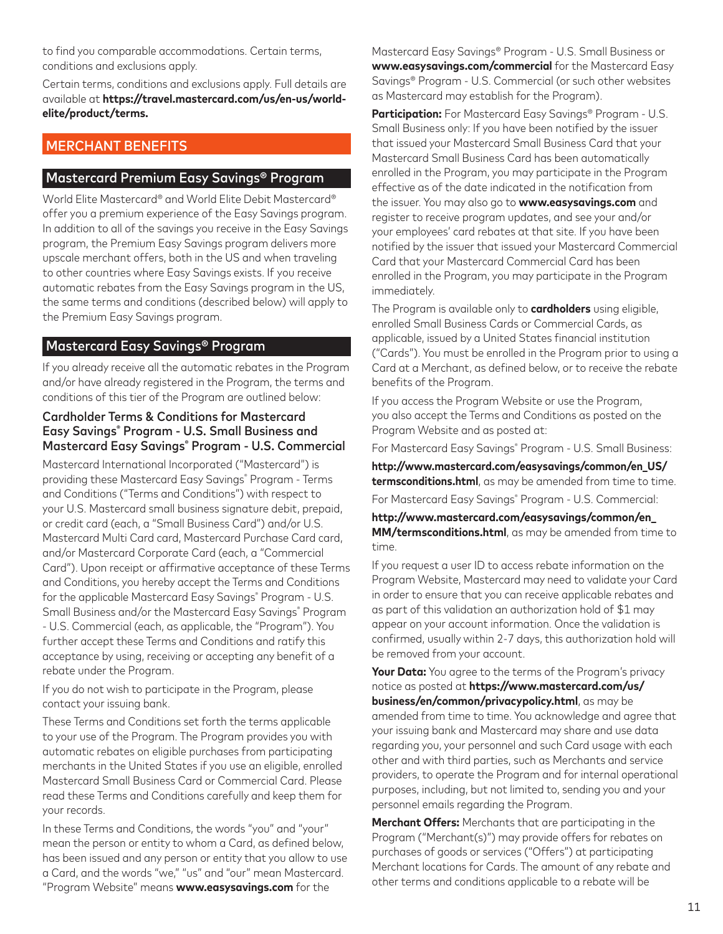to find you comparable accommodations. Certain terms, conditions and exclusions apply.

Certain terms, conditions and exclusions apply. Full details are available at **https://travel.mastercard.com/us/en-us/worldelite/product/terms.**

# MERCHANT BENEFITS

## Mastercard Premium Easy Savings® Program

World Elite Mastercard® and World Elite Debit Mastercard® offer you a premium experience of the Easy Savings program. In addition to all of the savings you receive in the Easy Savings program, the Premium Easy Savings program delivers more upscale merchant offers, both in the US and when traveling to other countries where Easy Savings exists. If you receive automatic rebates from the Easy Savings program in the US, the same terms and conditions (described below) will apply to the Premium Easy Savings program.

### Mastercard Easy Savings® Program

If you already receive all the automatic rebates in the Program and/or have already registered in the Program, the terms and conditions of this tier of the Program are outlined below:

### Cardholder Terms & Conditions for Mastercard Easy Savings® Program - U.S. Small Business and Mastercard Easy Savings® Program - U.S. Commercial

Mastercard International Incorporated ("Mastercard") is providing these Mastercard Easy Savings® Program - Terms and Conditions ("Terms and Conditions") with respect to your U.S. Mastercard small business signature debit, prepaid, or credit card (each, a "Small Business Card") and/or U.S. Mastercard Multi Card card, Mastercard Purchase Card card, and/or Mastercard Corporate Card (each, a "Commercial Card"). Upon receipt or affirmative acceptance of these Terms and Conditions, you hereby accept the Terms and Conditions for the applicable Mastercard Easy Savings® Program - U.S. Small Business and/or the Mastercard Easy Savings® Program - U.S. Commercial (each, as applicable, the "Program"). You further accept these Terms and Conditions and ratify this acceptance by using, receiving or accepting any benefit of a rebate under the Program.

If you do not wish to participate in the Program, please contact your issuing bank.

These Terms and Conditions set forth the terms applicable to your use of the Program. The Program provides you with automatic rebates on eligible purchases from participating merchants in the United States if you use an eligible, enrolled Mastercard Small Business Card or Commercial Card. Please read these Terms and Conditions carefully and keep them for your records.

In these Terms and Conditions, the words "you" and "your" mean the person or entity to whom a Card, as defined below, has been issued and any person or entity that you allow to use a Card, and the words "we," "us" and "our" mean Mastercard. "Program Website" means **www.easysavings.com** for the

Mastercard Easy Savings® Program - U.S. Small Business or **www.easysavings.com/commercial** for the Mastercard Easy Savings® Program - U.S. Commercial (or such other websites as Mastercard may establish for the Program).

**Participation:** For Mastercard Easy Savings® Program - U.S. Small Business only: If you have been notified by the issuer that issued your Mastercard Small Business Card that your Mastercard Small Business Card has been automatically enrolled in the Program, you may participate in the Program effective as of the date indicated in the notification from the issuer. You may also go to **www.easysavings.com** and register to receive program updates, and see your and/or your employees' card rebates at that site. If you have been notified by the issuer that issued your Mastercard Commercial Card that your Mastercard Commercial Card has been enrolled in the Program, you may participate in the Program immediately.

The Program is available only to **cardholders** using eligible, enrolled Small Business Cards or Commercial Cards, as applicable, issued by a United States financial institution ("Cards"). You must be enrolled in the Program prior to using a Card at a Merchant, as defined below, or to receive the rebate benefits of the Program.

If you access the Program Website or use the Program, you also accept the Terms and Conditions as posted on the Program Website and as posted at:

For Mastercard Easy Savings® Program - U.S. Small Business:

**http://www.mastercard.com/easysavings/common/en\_US/ termsconditions.html**, as may be amended from time to time. For Mastercard Easy Savings® Program - U.S. Commercial:

**http://www.mastercard.com/easysavings/common/en\_ MM/termsconditions.html**, as may be amended from time to time.

If you request a user ID to access rebate information on the Program Website, Mastercard may need to validate your Card in order to ensure that you can receive applicable rebates and as part of this validation an authorization hold of \$1 may appear on your account information. Once the validation is confirmed, usually within 2-7 days, this authorization hold will be removed from your account.

**Your Data:** You agree to the terms of the Program's privacy notice as posted at **https://www.mastercard.com/us/ business/en/common/privacypolicy.html**, as may be amended from time to time. You acknowledge and agree that your issuing bank and Mastercard may share and use data regarding you, your personnel and such Card usage with each other and with third parties, such as Merchants and service providers, to operate the Program and for internal operational purposes, including, but not limited to, sending you and your personnel emails regarding the Program.

**Merchant Offers:** Merchants that are participating in the Program ("Merchant(s)") may provide offers for rebates on purchases of goods or services ("Offers") at participating Merchant locations for Cards. The amount of any rebate and other terms and conditions applicable to a rebate will be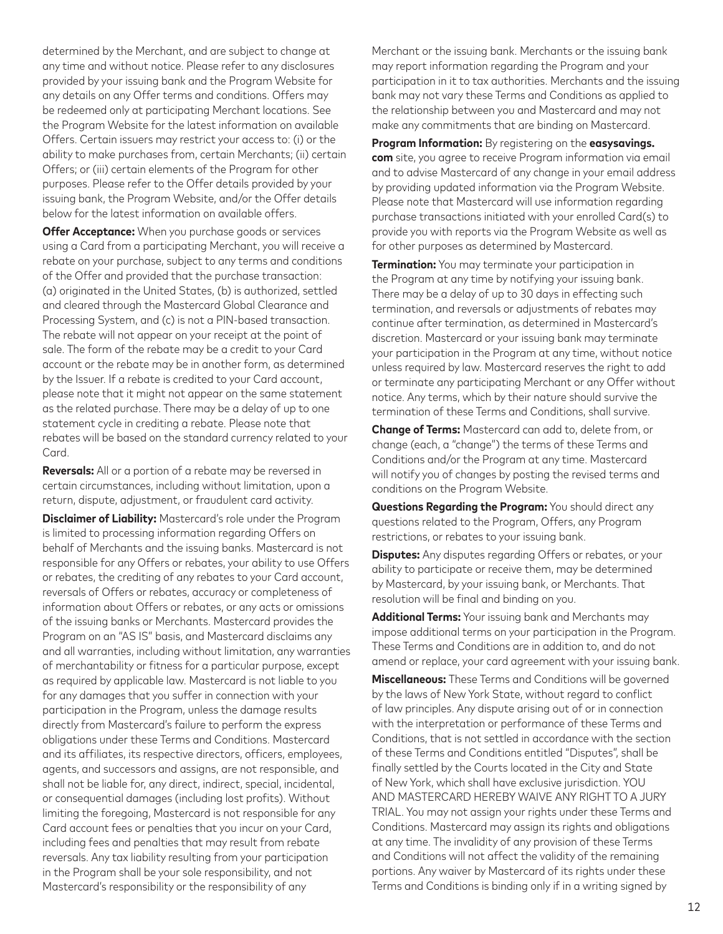determined by the Merchant, and are subject to change at any time and without notice. Please refer to any disclosures provided by your issuing bank and the Program Website for any details on any Offer terms and conditions. Offers may be redeemed only at participating Merchant locations. See the Program Website for the latest information on available Offers. Certain issuers may restrict your access to: (i) or the ability to make purchases from, certain Merchants; (ii) certain Offers; or (iii) certain elements of the Program for other purposes. Please refer to the Offer details provided by your issuing bank, the Program Website, and/or the Offer details below for the latest information on available offers.

**Offer Acceptance:** When you purchase goods or services using a Card from a participating Merchant, you will receive a rebate on your purchase, subject to any terms and conditions of the Offer and provided that the purchase transaction: (a) originated in the United States, (b) is authorized, settled and cleared through the Mastercard Global Clearance and Processing System, and (c) is not a PIN-based transaction. The rebate will not appear on your receipt at the point of sale. The form of the rebate may be a credit to your Card account or the rebate may be in another form, as determined by the Issuer. If a rebate is credited to your Card account, please note that it might not appear on the same statement as the related purchase. There may be a delay of up to one statement cycle in crediting a rebate. Please note that rebates will be based on the standard currency related to your Card.

**Reversals:** All or a portion of a rebate may be reversed in certain circumstances, including without limitation, upon a return, dispute, adjustment, or fraudulent card activity.

**Disclaimer of Liability:** Mastercard's role under the Program is limited to processing information regarding Offers on behalf of Merchants and the issuing banks. Mastercard is not responsible for any Offers or rebates, your ability to use Offers or rebates, the crediting of any rebates to your Card account, reversals of Offers or rebates, accuracy or completeness of information about Offers or rebates, or any acts or omissions of the issuing banks or Merchants. Mastercard provides the Program on an "AS IS" basis, and Mastercard disclaims any and all warranties, including without limitation, any warranties of merchantability or fitness for a particular purpose, except as required by applicable law. Mastercard is not liable to you for any damages that you suffer in connection with your participation in the Program, unless the damage results directly from Mastercard's failure to perform the express obligations under these Terms and Conditions. Mastercard and its affiliates, its respective directors, officers, employees, agents, and successors and assigns, are not responsible, and shall not be liable for, any direct, indirect, special, incidental, or consequential damages (including lost profits). Without limiting the foregoing, Mastercard is not responsible for any Card account fees or penalties that you incur on your Card, including fees and penalties that may result from rebate reversals. Any tax liability resulting from your participation in the Program shall be your sole responsibility, and not Mastercard's responsibility or the responsibility of any

Merchant or the issuing bank. Merchants or the issuing bank may report information regarding the Program and your participation in it to tax authorities. Merchants and the issuing bank may not vary these Terms and Conditions as applied to the relationship between you and Mastercard and may not make any commitments that are binding on Mastercard.

**Program Information:** By registering on the **easysavings. com** site, you agree to receive Program information via email and to advise Mastercard of any change in your email address by providing updated information via the Program Website. Please note that Mastercard will use information regarding purchase transactions initiated with your enrolled Card(s) to provide you with reports via the Program Website as well as for other purposes as determined by Mastercard.

**Termination:** You may terminate your participation in the Program at any time by notifying your issuing bank. There may be a delay of up to 30 days in effecting such termination, and reversals or adjustments of rebates may continue after termination, as determined in Mastercard's discretion. Mastercard or your issuing bank may terminate your participation in the Program at any time, without notice unless required by law. Mastercard reserves the right to add or terminate any participating Merchant or any Offer without notice. Any terms, which by their nature should survive the termination of these Terms and Conditions, shall survive.

**Change of Terms:** Mastercard can add to, delete from, or change (each, a "change") the terms of these Terms and Conditions and/or the Program at any time. Mastercard will notify you of changes by posting the revised terms and conditions on the Program Website.

**Questions Regarding the Program:** You should direct any questions related to the Program, Offers, any Program restrictions, or rebates to your issuing bank.

**Disputes:** Any disputes regarding Offers or rebates, or your ability to participate or receive them, may be determined by Mastercard, by your issuing bank, or Merchants. That resolution will be final and binding on you.

**Additional Terms:** Your issuing bank and Merchants may impose additional terms on your participation in the Program. These Terms and Conditions are in addition to, and do not amend or replace, your card agreement with your issuing bank.

**Miscellaneous:** These Terms and Conditions will be governed by the laws of New York State, without regard to conflict of law principles. Any dispute arising out of or in connection with the interpretation or performance of these Terms and Conditions, that is not settled in accordance with the section of these Terms and Conditions entitled "Disputes", shall be finally settled by the Courts located in the City and State of New York, which shall have exclusive jurisdiction. YOU AND MASTERCARD HEREBY WAIVE ANY RIGHT TO A JURY TRIAL. You may not assign your rights under these Terms and Conditions. Mastercard may assign its rights and obligations at any time. The invalidity of any provision of these Terms and Conditions will not affect the validity of the remaining portions. Any waiver by Mastercard of its rights under these Terms and Conditions is binding only if in a writing signed by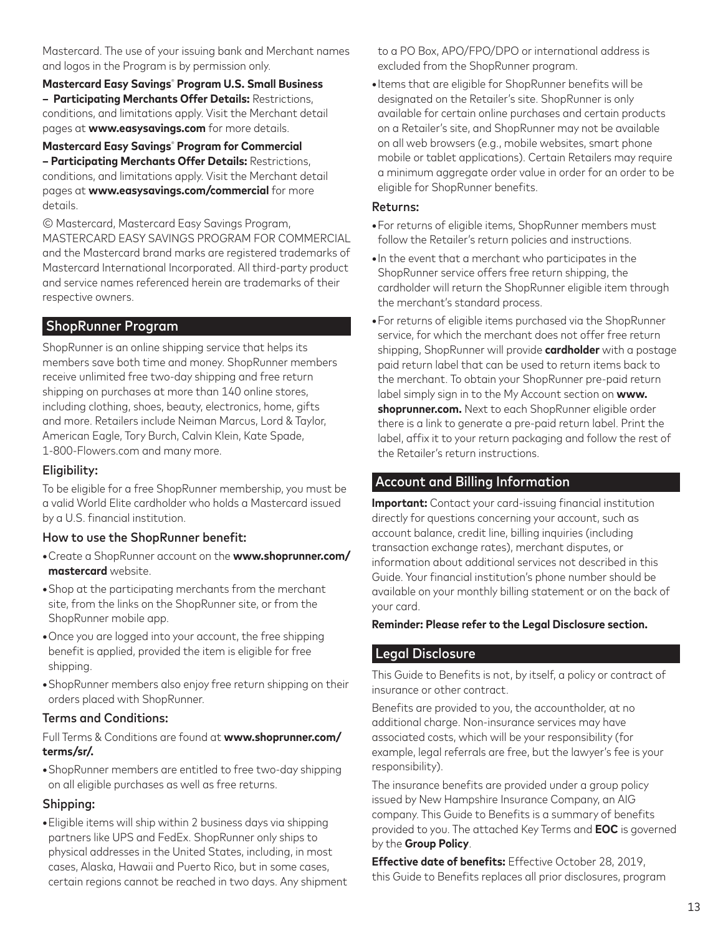Mastercard. The use of your issuing bank and Merchant names and logos in the Program is by permission only.

**Mastercard Easy Savings**®  **Program U.S. Small Business – Participating Merchants Offer Details:** Restrictions, conditions, and limitations apply. Visit the Merchant detail pages at **www.easysavings.com** for more details.

**Mastercard Easy Savings**®  **Program for Commercial – Participating Merchants Offer Details:** Restrictions, conditions, and limitations apply. Visit the Merchant detail pages at **www.easysavings.com/commercial** for more details.

© Mastercard, Mastercard Easy Savings Program, MASTERCARD EASY SAVINGS PROGRAM FOR COMMERCIAL and the Mastercard brand marks are registered trademarks of Mastercard International Incorporated. All third-party product and service names referenced herein are trademarks of their respective owners.

# ShopRunner Program

ShopRunner is an online shipping service that helps its members save both time and money. ShopRunner members receive unlimited free two-day shipping and free return shipping on purchases at more than 140 online stores, including clothing, shoes, beauty, electronics, home, gifts and more. Retailers include Neiman Marcus, Lord & Taylor, American Eagle, Tory Burch, Calvin Klein, Kate Spade, 1-800-Flowers.com and many more.

## Eligibility:

To be eligible for a free ShopRunner membership, you must be a valid World Elite cardholder who holds a Mastercard issued by a U.S. financial institution.

### How to use the ShopRunner benefit:

- Create a ShopRunner account on the **www.shoprunner.com/ mastercard** website.
- Shop at the participating merchants from the merchant site, from the links on the ShopRunner site, or from the ShopRunner mobile app.
- Once you are logged into your account, the free shipping benefit is applied, provided the item is eligible for free shipping.
- ShopRunner members also enjoy free return shipping on their orders placed with ShopRunner.

### Terms and Conditions:

#### Full Terms & Conditions are found at **www.shoprunner.com/ terms/sr/.**

**•** ShopRunner members are entitled to free two-day shipping on all eligible purchases as well as free returns.

## Shipping:

**•** Eligible items will ship within 2 business days via shipping partners like UPS and FedEx. ShopRunner only ships to physical addresses in the United States, including, in most cases, Alaska, Hawaii and Puerto Rico, but in some cases, certain regions cannot be reached in two days. Any shipment to a PO Box, APO/FPO/DPO or international address is excluded from the ShopRunner program.

**•** Items that are eligible for ShopRunner benefits will be designated on the Retailer's site. ShopRunner is only available for certain online purchases and certain products on a Retailer's site, and ShopRunner may not be available on all web browsers (e.g., mobile websites, smart phone mobile or tablet applications). Certain Retailers may require a minimum aggregate order value in order for an order to be eligible for ShopRunner benefits.

### Returns:

- For returns of eligible items, ShopRunner members must follow the Retailer's return policies and instructions.
- In the event that a merchant who participates in the ShopRunner service offers free return shipping, the cardholder will return the ShopRunner eligible item through the merchant's standard process.
- For returns of eligible items purchased via the ShopRunner service, for which the merchant does not offer free return shipping, ShopRunner will provide **cardholder** with a postage paid return label that can be used to return items back to the merchant. To obtain your ShopRunner pre-paid return label simply sign in to the My Account section on **www. shoprunner.com.** Next to each ShopRunner eligible order there is a link to generate a pre-paid return label. Print the label, affix it to your return packaging and follow the rest of the Retailer's return instructions.

# Account and Billing Information

**Important:** Contact your card-issuing financial institution directly for questions concerning your account, such as account balance, credit line, billing inquiries (including transaction exchange rates), merchant disputes, or information about additional services not described in this Guide. Your financial institution's phone number should be available on your monthly billing statement or on the back of your card.

#### **Reminder: Please refer to the Legal Disclosure section.**

## Legal Disclosure

This Guide to Benefits is not, by itself, a policy or contract of insurance or other contract.

Benefits are provided to you, the accountholder, at no additional charge. Non-insurance services may have associated costs, which will be your responsibility (for example, legal referrals are free, but the lawyer's fee is your responsibility).

The insurance benefits are provided under a group policy issued by New Hampshire Insurance Company, an AIG company. This Guide to Benefits is a summary of benefits provided to you. The attached Key Terms and **EOC** is governed by the **Group Policy**.

**Effective date of benefits:** Effective October 28, 2019, this Guide to Benefits replaces all prior disclosures, program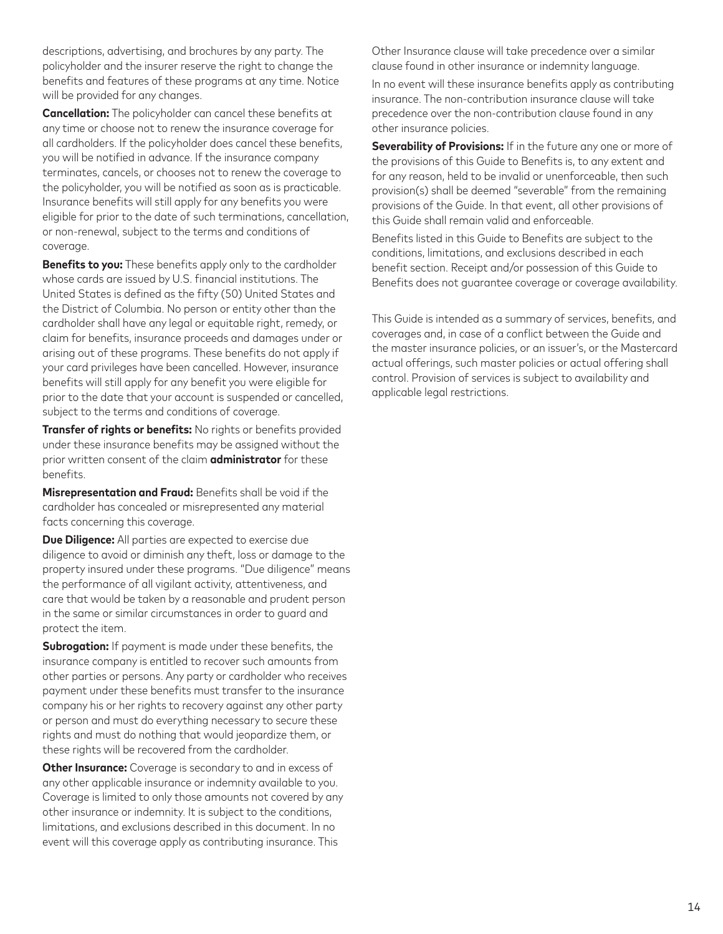descriptions, advertising, and brochures by any party. The policyholder and the insurer reserve the right to change the benefits and features of these programs at any time. Notice will be provided for any changes.

**Cancellation:** The policyholder can cancel these benefits at any time or choose not to renew the insurance coverage for all cardholders. If the policyholder does cancel these benefits, you will be notified in advance. If the insurance company terminates, cancels, or chooses not to renew the coverage to the policyholder, you will be notified as soon as is practicable. Insurance benefits will still apply for any benefits you were eligible for prior to the date of such terminations, cancellation, or non-renewal, subject to the terms and conditions of coverage.

**Benefits to you:** These benefits apply only to the cardholder whose cards are issued by U.S. financial institutions. The United States is defined as the fifty (50) United States and the District of Columbia. No person or entity other than the cardholder shall have any legal or equitable right, remedy, or claim for benefits, insurance proceeds and damages under or arising out of these programs. These benefits do not apply if your card privileges have been cancelled. However, insurance benefits will still apply for any benefit you were eligible for prior to the date that your account is suspended or cancelled, subject to the terms and conditions of coverage.

**Transfer of rights or benefits:** No rights or benefits provided under these insurance benefits may be assigned without the prior written consent of the claim **administrator** for these benefits.

**Misrepresentation and Fraud:** Benefits shall be void if the cardholder has concealed or misrepresented any material facts concerning this coverage.

**Due Diligence:** All parties are expected to exercise due diligence to avoid or diminish any theft, loss or damage to the property insured under these programs. "Due diligence" means the performance of all vigilant activity, attentiveness, and care that would be taken by a reasonable and prudent person in the same or similar circumstances in order to guard and protect the item.

**Subrogation:** If payment is made under these benefits, the insurance company is entitled to recover such amounts from other parties or persons. Any party or cardholder who receives payment under these benefits must transfer to the insurance company his or her rights to recovery against any other party or person and must do everything necessary to secure these rights and must do nothing that would jeopardize them, or these rights will be recovered from the cardholder.

**Other Insurance:** Coverage is secondary to and in excess of any other applicable insurance or indemnity available to you. Coverage is limited to only those amounts not covered by any other insurance or indemnity. It is subject to the conditions, limitations, and exclusions described in this document. In no event will this coverage apply as contributing insurance. This

Other Insurance clause will take precedence over a similar clause found in other insurance or indemnity language.

In no event will these insurance benefits apply as contributing insurance. The non-contribution insurance clause will take precedence over the non-contribution clause found in any other insurance policies.

**Severability of Provisions:** If in the future any one or more of the provisions of this Guide to Benefits is, to any extent and for any reason, held to be invalid or unenforceable, then such provision(s) shall be deemed "severable" from the remaining provisions of the Guide. In that event, all other provisions of this Guide shall remain valid and enforceable.

Benefits listed in this Guide to Benefits are subject to the conditions, limitations, and exclusions described in each benefit section. Receipt and/or possession of this Guide to Benefits does not guarantee coverage or coverage availability.

This Guide is intended as a summary of services, benefits, and coverages and, in case of a conflict between the Guide and the master insurance policies, or an issuer's, or the Mastercard actual offerings, such master policies or actual offering shall control. Provision of services is subject to availability and applicable legal restrictions.